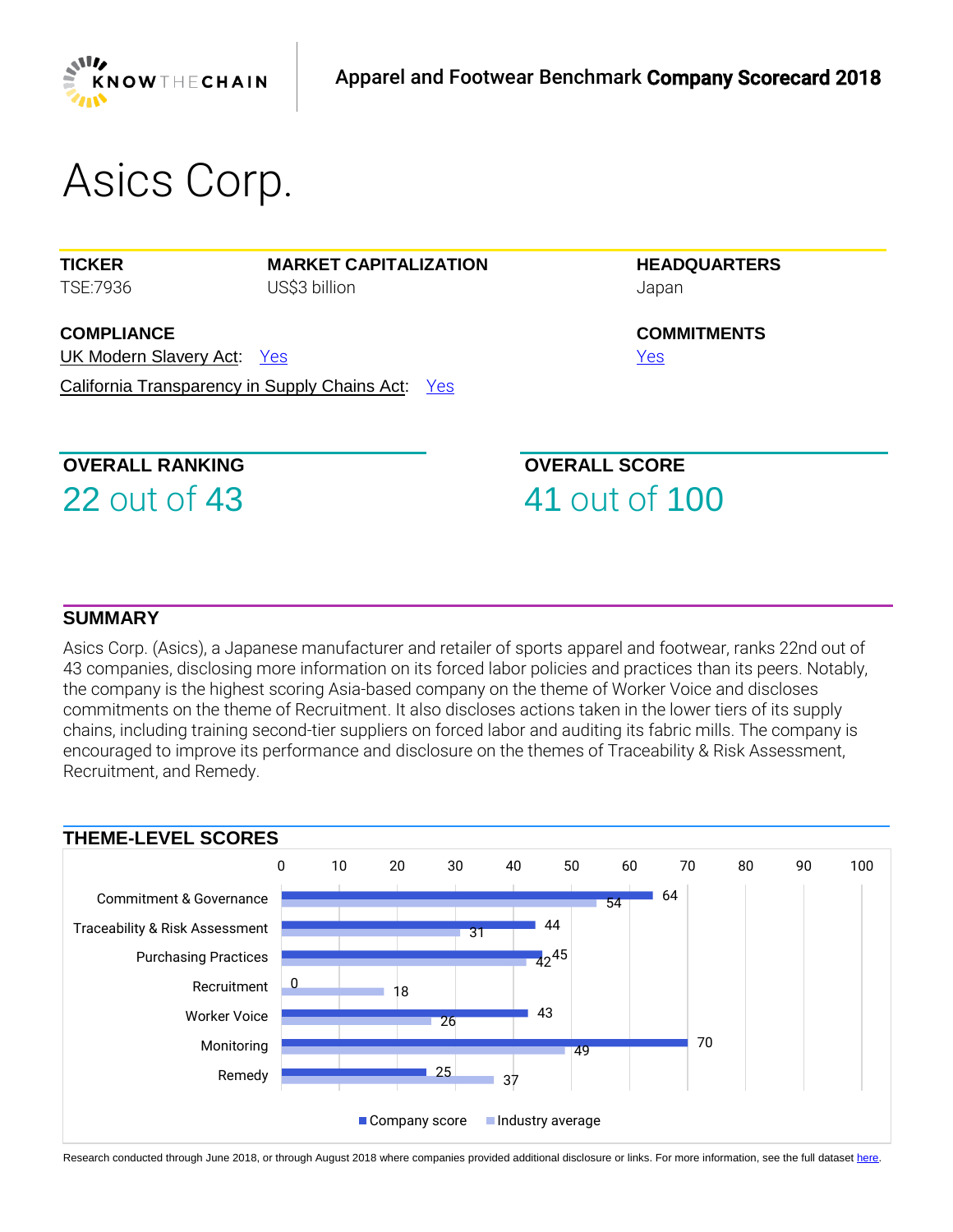

# *Asics Corp.*

**TICKER** *TSE:7936* **MARKET CAPITALIZATION** *US\$3 billion*

**COMPLIANCE** UK Modern Slavery Act: *[Yes](https://www.business-humanrights.org/sites/default/files/%28%281%29%29%202018%20KTC%20AF%20Non-scored%20Research%20-%20Asics.pdf)*  California Transparency in Supply Chains Act: *[Yes](https://www.business-humanrights.org/sites/default/files/%28%281%29%29%202018%20KTC%20AF%20Non-scored%20Research%20-%20Asics.pdf)*  **HEADQUARTERS** *Japan*

**COMMITMENTS** *[Yes](https://www.business-humanrights.org/sites/default/files/%28%281%29%29%202018%20KTC%20AF%20Non-scored%20Research%20-%20Asics.pdf)* 

# **OVERALL RANKING**

22 *out of* 43

**OVERALL SCORE** 41 *out of* 100

#### **SUMMARY**

*Asics Corp. (Asics), a Japanese manufacturer and retailer of sports apparel and footwear, ranks 22nd out of 43 companies, disclosing more information on its forced labor policies and practices than its peers. Notably, the company is the highest scoring Asia-based company on the theme of Worker Voice and discloses commitments on the theme of Recruitment. It also discloses actions taken in the lower tiers of its supply chains, including training second-tier suppliers on forced labor and auditing its fabric mills. The company is encouraged to improve its performance and disclosure on the themes of Traceability & Risk Assessment, Recruitment, and Remedy.*



Research conducted through June 2018, or through August 2018 where companies provided additional disclosure or links. For more information, see the full datase[t here.](https://knowthechain.org/benchmark-downloads/)